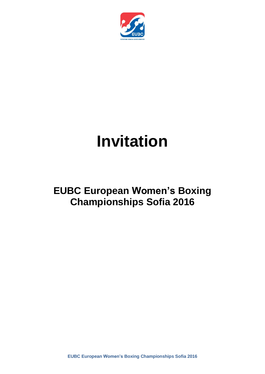

# **Invitation**

# **EUBC European Women's Boxing Championships Sofia 2016**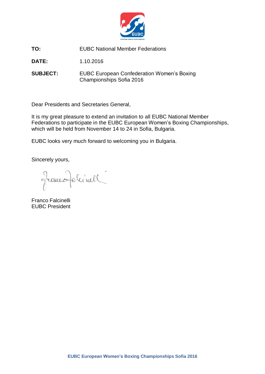

**TO:** EUBC National Member Federations

**DATE:** 1.10.2016

**SUBJECT:** EUBC European Confederation Women's Boxing Championships Sofia 2016

Dear Presidents and Secretaries General,

It is my great pleasure to extend an invitation to all EUBC National Member Federations to participate in the EUBC European Women's Boxing Championships, which will be held from November 14 to 24 in Sofia, Bulgaria.

EUBC looks very much forward to welcoming you in Bulgaria.

Sincerely yours,

francoperinell

Franco Falcinelli EUBC President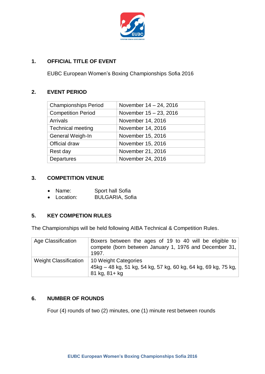

# **1. OFFICIAL TITLE OF EVENT**

EUBC European Women's Boxing Championships Sofia 2016

# **2. EVENT PERIOD**

| <b>Championships Period</b> | November $14 - 24$ , 2016 |
|-----------------------------|---------------------------|
| <b>Competition Period</b>   | November 15 - 23, 2016    |
| <b>Arrivals</b>             | November 14, 2016         |
| <b>Technical meeting</b>    | November 14, 2016         |
| General Weigh-In            | November 15, 2016         |
| Official draw               | November 15, 2016         |
| Rest day                    | November 21, 2016         |
| Departures                  | November 24, 2016         |
|                             |                           |

# **3. COMPETITION VENUE**

- Name: Sport hall Sofia
- Location: BULGARIA, Sofia

# **5. KEY COMPETION RULES**

The Championships will be held following AIBA Technical & Competition Rules.

| Age Classification           | Boxers between the ages of 19 to 40 will be eligible to<br>compete (born between January 1, 1976 and December 31,<br>1997. |
|------------------------------|----------------------------------------------------------------------------------------------------------------------------|
| <b>Weight Classification</b> | 10 Weight Categories<br>45kg – 48 kg, 51 kg, 54 kg, 57 kg, 60 kg, 64 kg, 69 kg, 75 kg, 1<br>81 kg, 81+ kg                  |

# **6. NUMBER OF ROUNDS**

Four (4) rounds of two (2) minutes, one (1) minute rest between rounds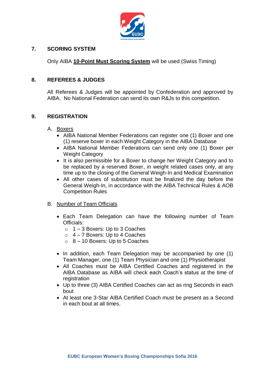

### **7. SCORING SYSTEM**

Only AIBA **10-Point Must Scoring System** will be used (Swiss Timing)

#### **8. REFEREES & JUDGES**

All Referees & Judges will be appointed by Confederation and approved by AIBA. No National Federation can send its own R&Js to this competition.

#### **9. REGISTRATION**

- A. Boxers
	- AIBA National Member Federations can register one (1) Boxer and one (1) reserve boxer in each Weight Category in the AIBA Database
	- AIBA National Member Federations can send only one (1) Boxer per Weight Category
	- It is also permissible for a Boxer to change her Weight Category and to be replaced by a reserved Boxer, in weight related cases only, at any time up to the closing of the General Weigh-In and Medical Examination
	- All other cases of substitution must be finalized the day before the General Weigh-In, in accordance with the AIBA Technical Rules & AOB Competition Rules
- B. Number of Team Officials
	- Each Team Delegation can have the following number of Team Officials:
		- $\circ$  1 3 Boxers: Up to 3 Coaches
		- $\circ$  4 7 Boxers: Up to 4 Coaches
		- $\circ$  8 10 Boxers: Up to 5 Coaches
	- In addition, each Team Delegation may be accompanied by one (1) Team Manager, one (1) Team Physician and one (1) Physiotherapist
	- All Coaches must be AIBA Certified Coaches and registered in the AIBA Database as AIBA will check each Coach's status at the time of registration
	- Up to three (3) AIBA Certified Coaches can act as ring Seconds in each bout
	- At least one 3-Star AIBA Certified Coach must be present as a Second in each bout at all times.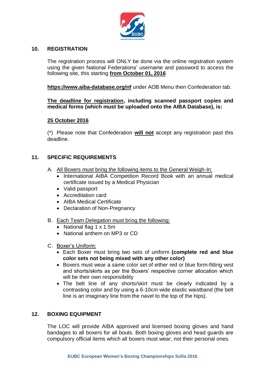

#### **10. REGISTRATION**

The registration process will ONLY be done via the online registration system using the given National Federations' username and password to access the following site, this starting **from October 01, 2016**

**<https://www.aiba-database.org/nf>** under AOB Menu then Confederation tab.

**The deadline for registration, including scanned passport copies and medical forms (which must be uploaded onto the AIBA Database), is:**

#### **25 October 2016**

(\*) Please note that Confederation **will not** accept any registration past this deadline.

# **11. SPECIFIC REQUIREMENTS**

- A. All Boxers must bring the following items to the General Weigh-In:
	- International AIBA Competition Record Book with an annual medical certificate issued by a Medical Physician
	- Valid passport
	- Accreditation card
	- AIBA Medical Certificate
	- Declaration of Non-Pregnancy
- B. Each Team Delegation must bring the following:
	- National flag 1 x 1.5m
	- National anthem on MP3 or CD
- C. Boxer's Uniform:
	- Each Boxer must bring two sets of uniform **(complete red and blue color sets not being mixed with any other color)**
	- Boxers must wear a same color set of either red or blue form-fitting vest and shorts/skirts as per the Boxers' respective corner allocation which will be their own responsibility
	- The belt line of any shorts/skirt must be clearly indicated by a contrasting color and by using a 6-10cm wide elastic waistband (the belt line is an imaginary line from the navel to the top of the hips).

#### **12. BOXING EQUIPMENT**

The LOC will provide AIBA approved and licensed boxing gloves and hand bandages to all boxers for all bouts. Both boxing gloves and head guards are compulsory official items which all boxers must wear, not their personal ones.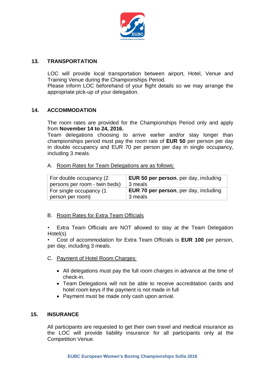

#### **13. TRANSPORTATION**

LOC will provide local transportation between airport, Hotel, Venue and Training Venue during the Championships Period.

Please inform LOC beforehand of your flight details so we may arrange the appropriate pick-up of your delegation.

#### **14. ACCOMMODATION**

The room rates are provided for the Championships Period only and apply from **November 14 to 24, 2016.**

Team delegations choosing to arrive earlier and/or stay longer than championships period must pay the room rate of **EUR 50** per person per day in double occupancy and EUR 70 per person per day in single occupancy, including 3 meals.

#### A. Room Rates for Team Delegations are as follows:

| For double occupancy (2       | <b>EUR 50 per person, per day, including</b> |
|-------------------------------|----------------------------------------------|
| persons per room - twin beds) | 3 meals                                      |
| For single occupancy (1       | <b>EUR 70 per person, per day, including</b> |
| person per room)              | 3 meals                                      |

#### B. Room Rates for Extra Team Officials

• Extra Team Officials are NOT allowed to stay at the Team Delegation Hotel(s)

• Cost of accommodation for Extra Team Officials is **EUR 100** per person, per day, including 3 meals.

- C. Payment of Hotel Room Charges:
	- All delegations must pay the full room charges in advance at the time of check-in.
	- Team Delegations will not be able to receive accreditation cards and hotel room keys if the payment is not made in full
	- Payment must be made only cash upon arrival.

#### **15. INSURANCE**

All participants are requested to get their own travel and medical insurance as the LOC will provide liability insurance for all participants only at the Competition Venue.